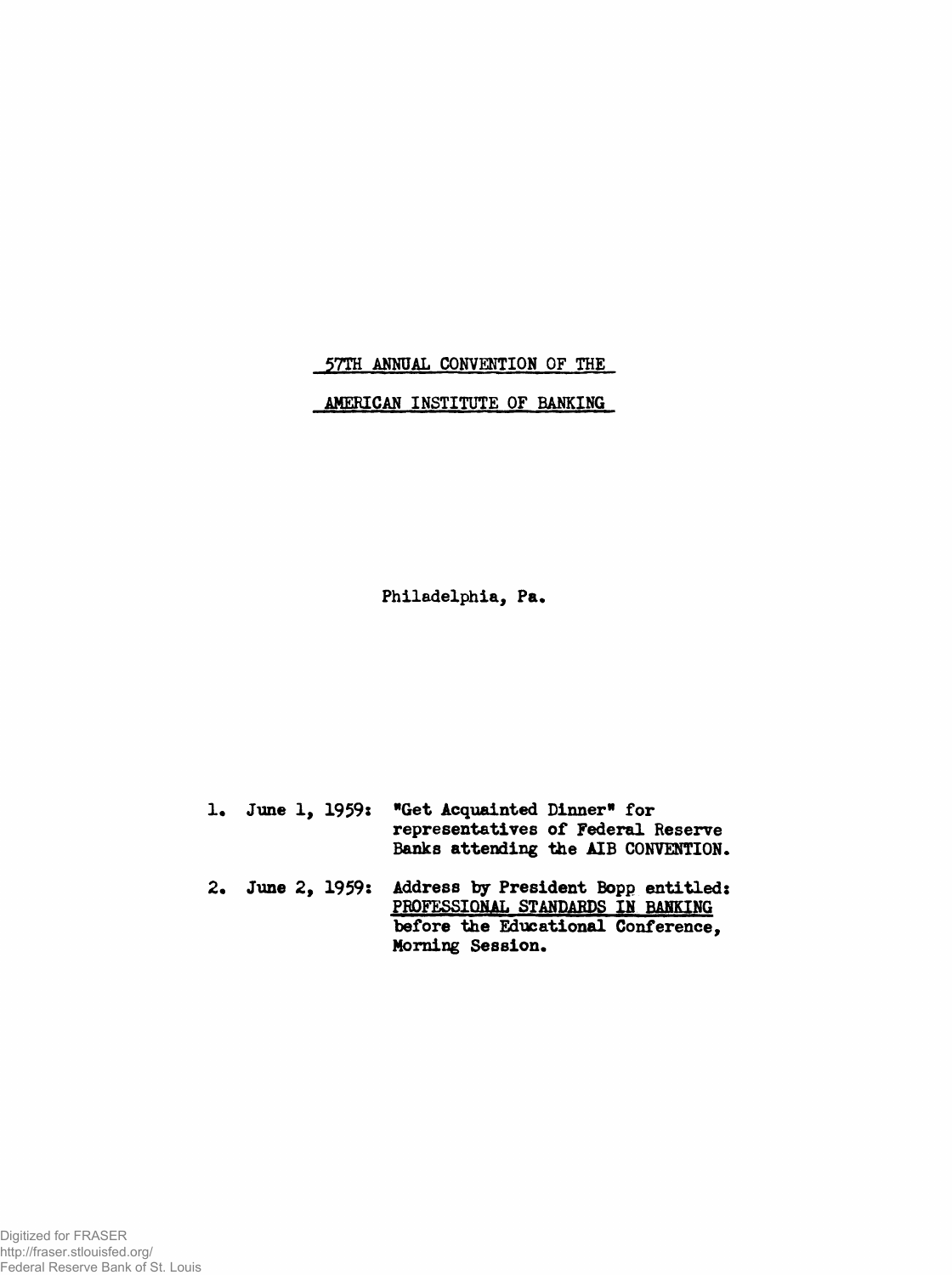**57TH ANNUAL CONVENTION OF THE**

**AMERICAN INSTITUTE OF BANKING**

**Philadelphia, Pa.**

| 1. June 1, 1959: | "Get Acquainted Dinner" for<br>representatives of Federal Reserve<br>Banks attending the AIB CONVENTION.                           |
|------------------|------------------------------------------------------------------------------------------------------------------------------------|
| 2. June 2, 1959: | Address by President Bopp entitled:<br>PROFESSIONAL STANDARDS IN BANKING<br>before the Educational Conference,<br>Morning Session. |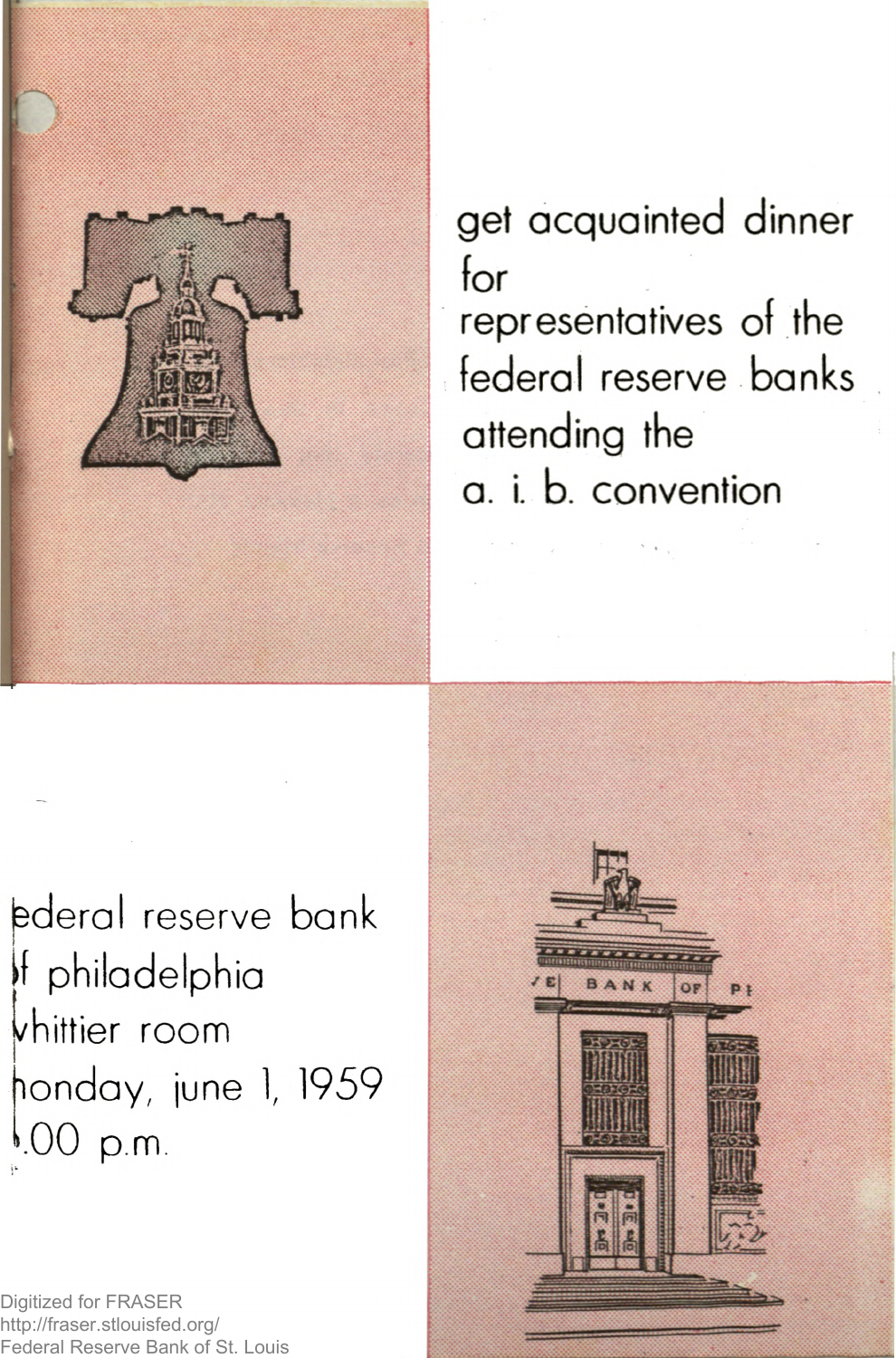

get acquainted dinner for representatives of the federal reserve banks attending the a. i. b. convention

ederal reserve bank 'f philadelphia shiftier room londay, june 1, 1959 '.00 p.m.

Digitized for FRASER http://fraser.stlouisfed.org/ Federal Reserve Bank of St. Louis

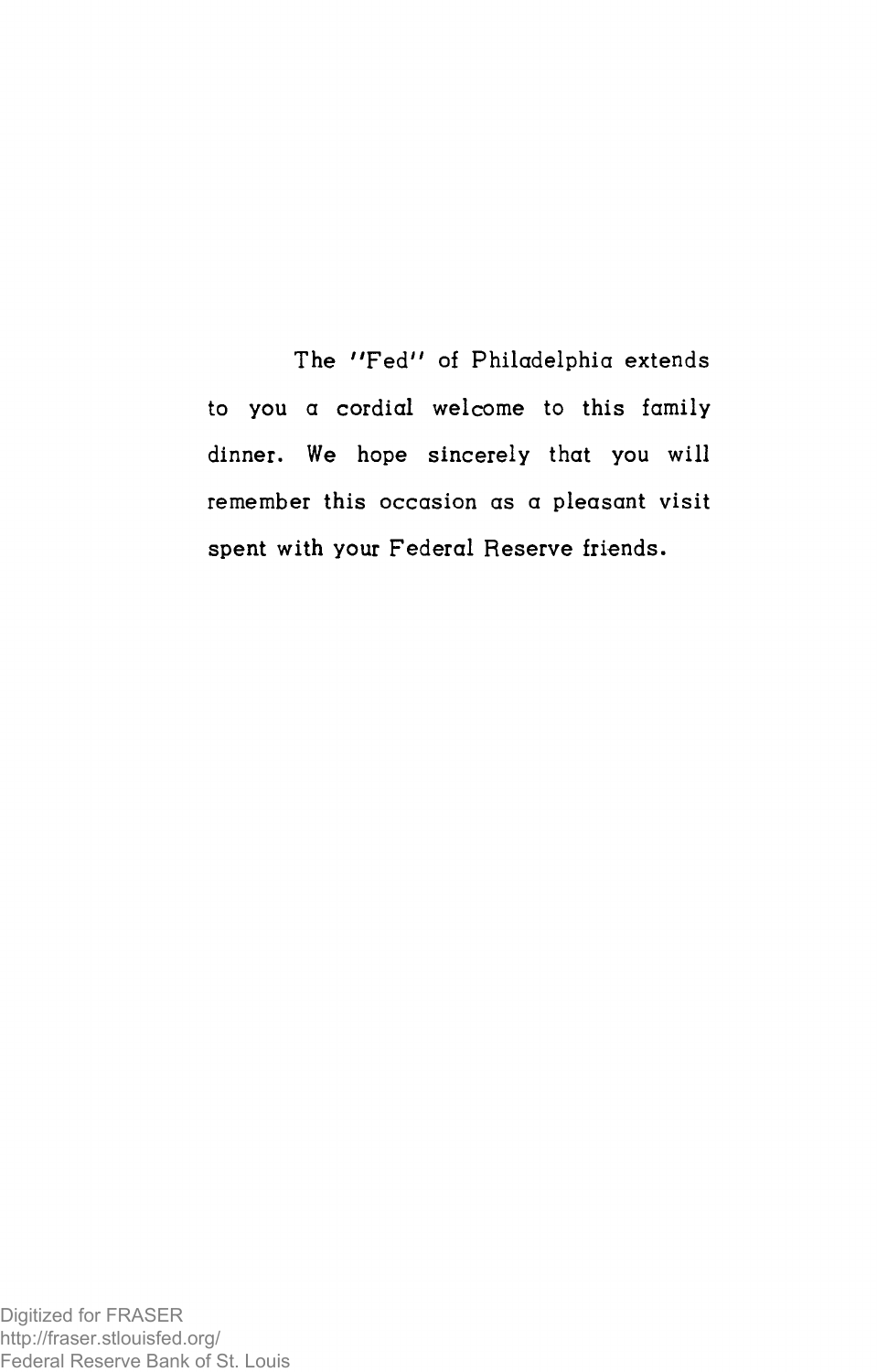The "Fed" of Philadelphia extends to you a cordial welcome to this family dinner. We hope sincerely that you will remember this occasion as a pleasant visit spent with your Federal Reserve friends.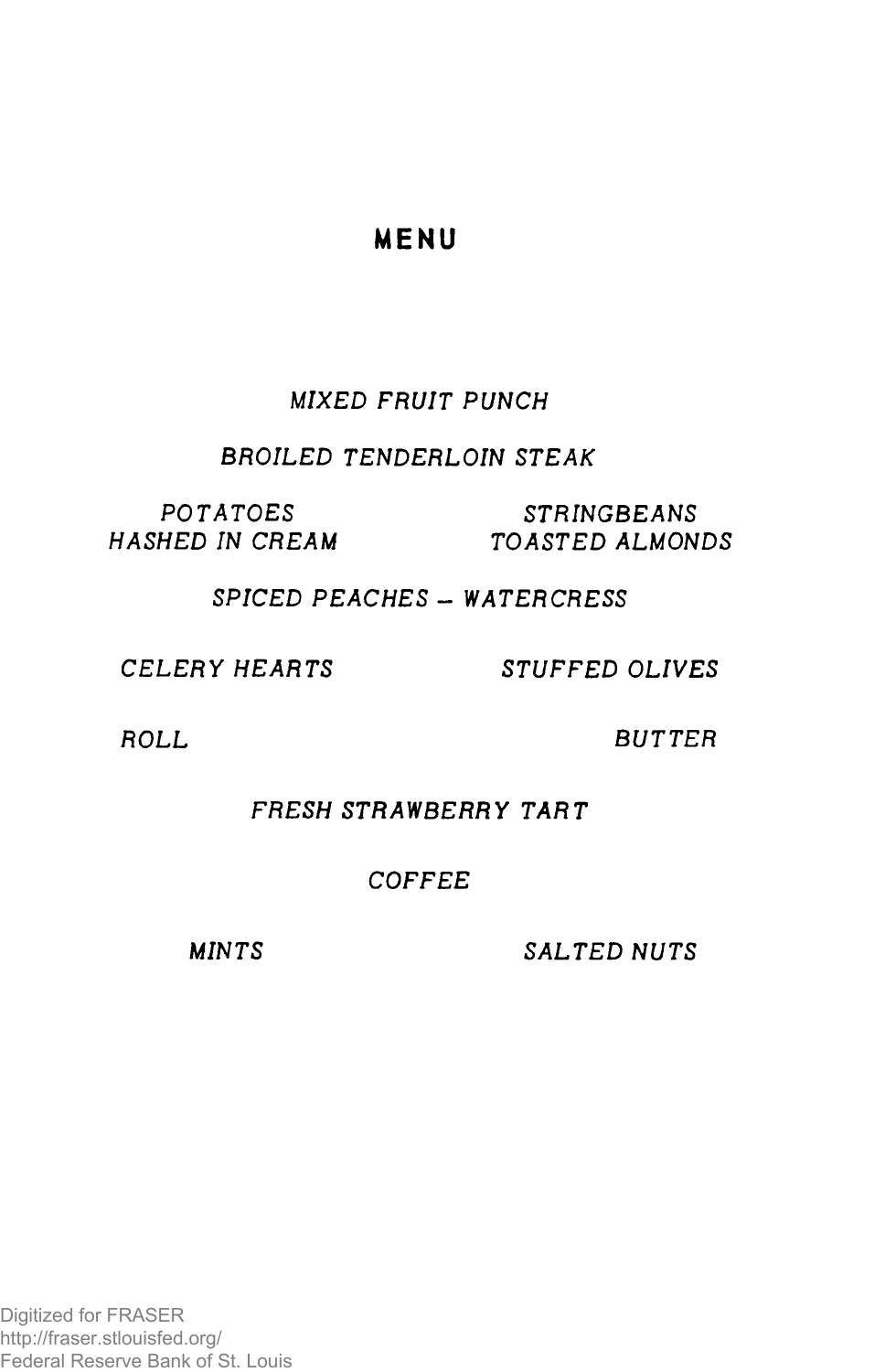# MENU

# *MIXED FRUIT PUNCH*

## **BROILED TENDERLOIN STEAK**

 $POTATOES$  STRINGBEANS *H A S H E D IN C R E A M T O A S T E D A L M O N D S*

### *S P I C E D P E A C H E S - W A T E R C R E S S*

*C E L E R Y H E A R T S S T U F F E D O L I V E S*

**ROLL BUTTER** 

## **FRESH STRAWBERRY TART**

# *C O F F E E*

*MINTS* SALTED NUTS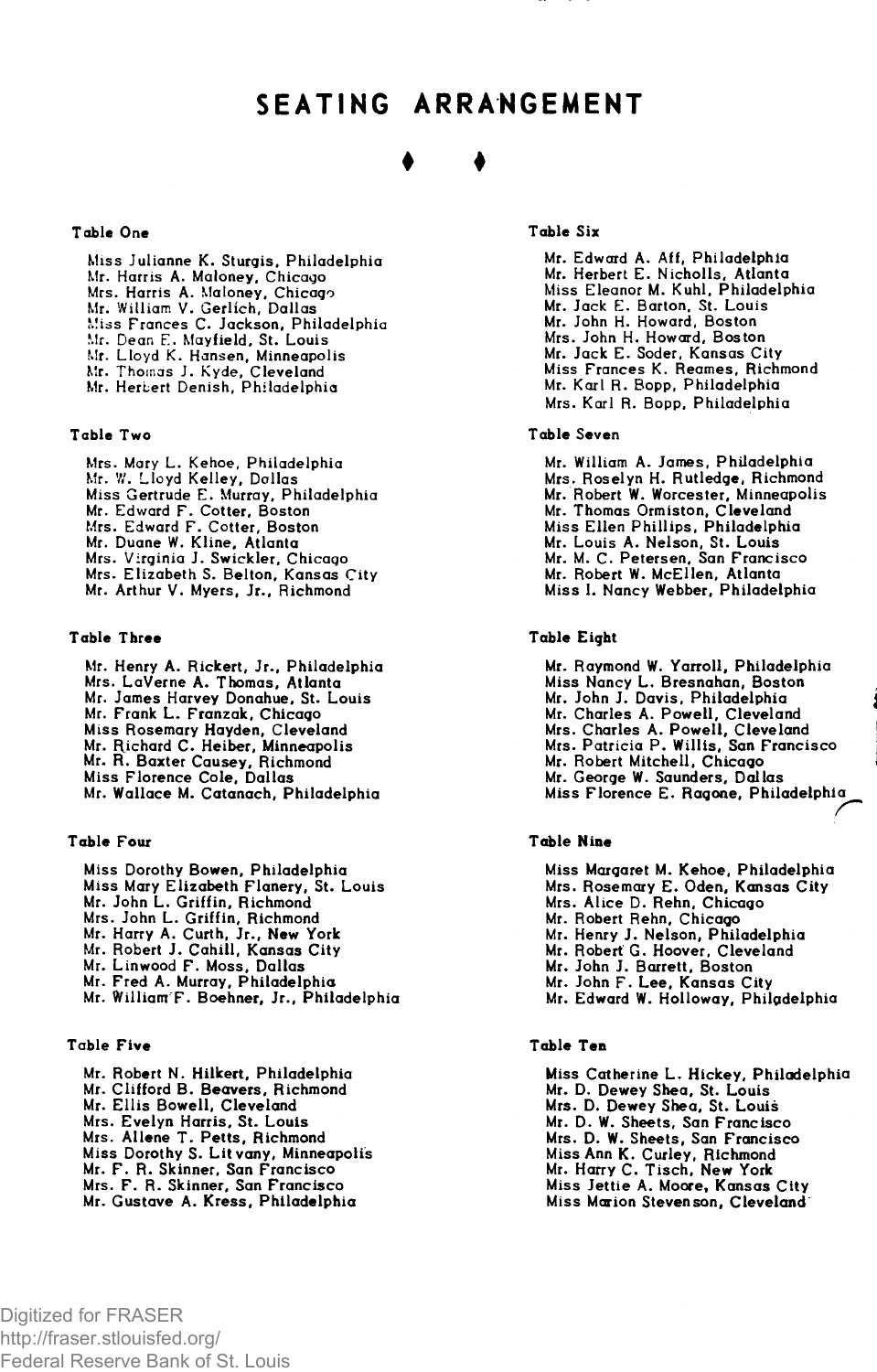# SEATING ARRANGEMENT

# ♦ ♦

### Table One

Miss Julianne K. Sturgis, Philadelphia Mr. Harris A. Maloney, Chicago Mrs. Harris A. Maloney, Chicago Mr. William V. Gerlich, Dallas Miss Frances C. Jackson, Philadelphia Mr. Dean E. Mayfield, St. Louis Mr. Lloyd K. Hansen, Minneapolis Mr. Thomas J. Kyde, Cleveland Mr. Herbert Denish, Philadelphia

#### Table Two

Mrs. Mary L. Kehoe, Philadelphic<br>Mr. W. Lloyd Kelley, Dallas Miss Gertrude E. Murray, Philadelphia Mr. Edward F. Cotter, Boston Mrs. Edward F. Cotter, Boston Mr. Duane W. Kline, Atlanta Mrs. Virginia J. Swickler, Chicago Mrs. Elizabeth S. Belton, Kansas City Mr. Arthur V. Myers, Jr., Richmond

### Table Three

Mr. Henry A. Rickert, Jr., Philadelphia Mrs. LaVerne A. Thomas, Atlanta Mr. James Harvey Donahue, St. Louis Mr. Frank L. Franzak, Chicago Miss Rosemary Hayden, Cleveland Mr. Richard C. Heiber, Minneapolis Mr. R. Baxter Causey, Richmond Miss Florence Cole, Dallas Mr. Wallace M. Catanach, Philadelphia

### Table Four

Miss Dorothy Bowen, Philadelphia Miss Mary Elizabeth Flanery, St. Louis Mr. John L. Griffin, Richmond Mrs. John L. Griffin, Richmond Mr. Harry A. Curth, Jr., New York Mr. Robert J. Cahill, Kansas City Mr. Linwood F. Moss, Dallas Mr. Fred A. Murray, Philadelphia Mr. William'F. Boehner, Jr., Philadelphia

#### Table Five

Mr. Robert N. Hilkert, Philadelphia Mr. Clifford B. Beavers, Richmond Mr. E llis Bowell, Cleveland Mrs. Evelyn Harris, St. Louis Mrs. Allene T. Petts, Richmond Miss Dorothy S. Litvany, Minneapolis Mr. F. R. Skinner, San Francisco Mrs. F. R. Skinner, San Francisco Mr. Gustave A. Kress, Philadelphia

### Table Six

Mr. Edward A. Aff, Philadelphia Mr. Herbert E. N icholls, Atlanta Miss Eleanor M. Kuhl, Philadelphia Mr. Jack E. Barton. St. Louis Mr. John H. Howard, Boston Mrs. John H. Howard, Boston Mr. Jack E. Soder, Kansas City Miss Frances K. Reames, Richmond Mr. Karl R. Bopp, Philadelphia Mrs. Karl R. Bopp, Philadelphia

#### Table Seven

Mr. William A. James, Philadelphia Mrs. Roselyn H. Rutledge, Richmond Mr. Robert W. Worcester, Minneapolis Mr. Thomas Ormiston, Cleveland Miss Ellen Phillips, Philadelphia Mr. Louis A. Nelson, St. Louis Mr. M. C. Petersen, San Francisco Mr. Robert W. McEllen, Atlanta Miss I. Nancy Webber, Philadelphia

### Table Eight

Mr. Raymond W. Yarroll, Philadelphia Miss Nancy L. Bresnahan, Boston Mr. John J. Davis, Philadelphia Mr. Charles A. Powell, Cleveland<br>Mrs. Charles A. Powell, Cleveland<br>Mrs. Patricia P. Willis, San Francisco Mr. Robert Mitchell, Chicago Mr. George W. Saunders, Dallas Miss Florence E. Ragone, Philadelphia

#### **Table Nine**

Miss Margaret M. Kehoe, Philadelphia Mrs. Rosemary E. Oden, Kansas City Mrs. Alice D. Rehn, Chicago Mr. Robert Rehn, Chicago Mr. Henry J. Nelson, Philadelphia Mr. Robert G. Hoover, Cleveland Mr. John J. Barrett, Boston Mr. John F. Lee, Kansas City Mr. Edward W. Holloway, Philadelphia

#### **Table Ten**

Miss Catherine L. Hickey, Philadelphia Mr. D. Dewey Shea, St. Louis Mrs. D. Dewey Shea, St. Louis Mr. D. W. Sheets, San Francisco Mrs. D. W. Sheets, San Francisco Miss Ann K. Curley, Richmond Mr. Harry C. Tisch, New York Miss Jettie A. Moore, Kansas City Miss Marion Stevenson, Cleveland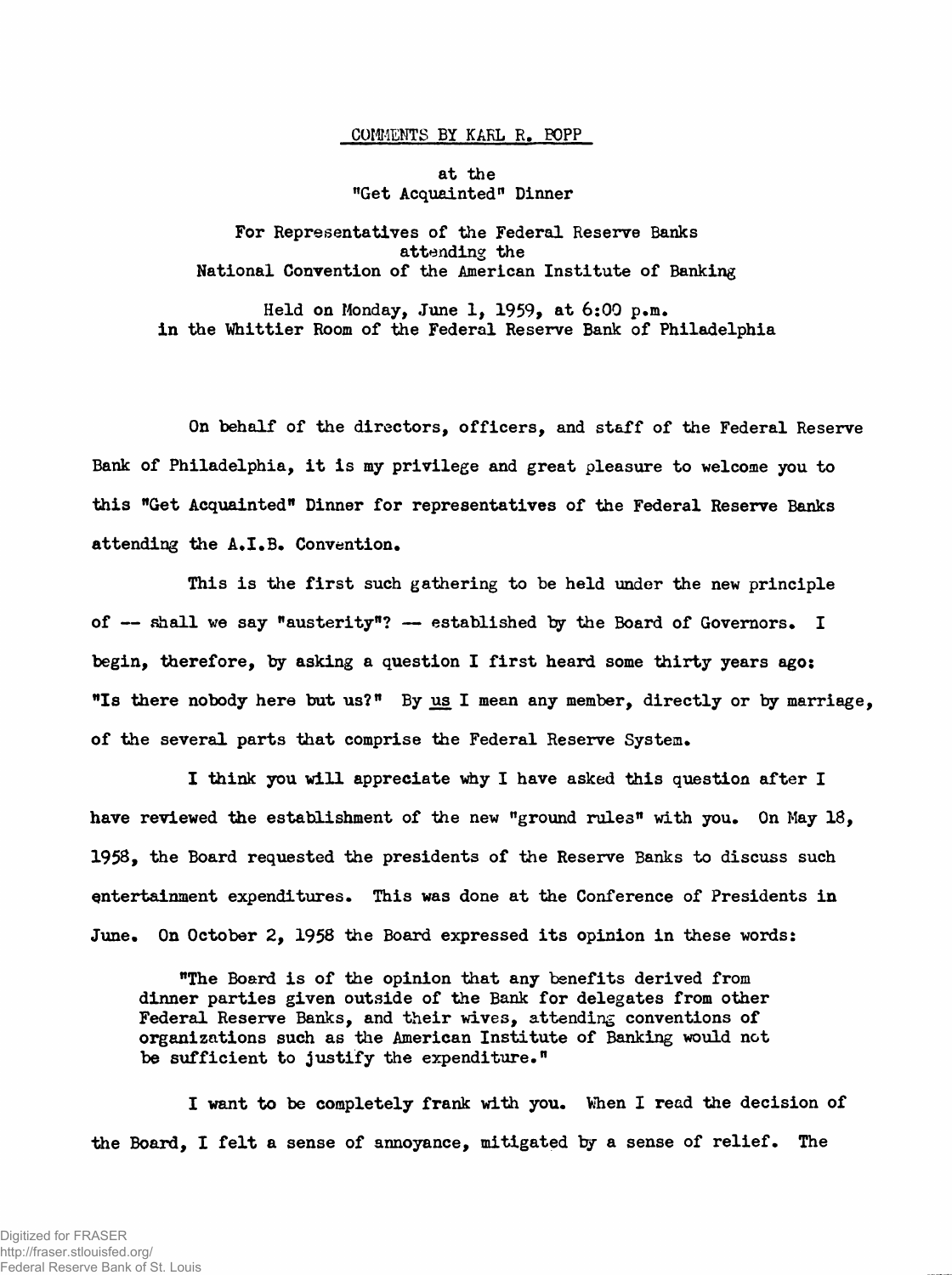### **COMMENTS BY KARL R. POPP**

### **at the "Get Acquainted11 Dinner**

**For Representatives of the Federal Reserve Banks attending the National Convention of the American Institute of Banking**

**Held on Monday, June 1, 1959, at 6:00 p.m. in the Whittier Room of the Federal Reserve Bank of Philadelphia**

**On behalf of the directors, officers, and staff of the Federal Reserve Bank of Philadelphia, it is my privilege and great pleasure to welcome you to this "Get Acquainted" Dinner for representatives of the Federal Reserve Banks attending the A.I.B. Convention.**

**This is the first such gathering to be held under the new principle of — shall we say "austerity"? — established by the Board of Governors. I begin, therefore, by asking a question I first heard some thirty years ago: "Is there nobody here but us?" By us I mean any member, directly or by marriage, of the several parts that comprise the Federal Reserve System.**

**I think you will appreciate why I have asked this question after I have reviewed the establishment of the new "ground rules" with you. On May 18, 1958, the Board requested the presidents of the Reserve Banks to discuss such entertainment expenditures. This was done at the Conference of Presidents in June. On October 2, 1958 the Board expressed its opinion in these words:**

**"The Board is of the opinion that any benefits derived from dinner parties given outside of the Bank for delegates from other Federal Reserve Banks, and their wives, attending conventions of organizations such as the American Institute of Banking would not be sufficient to justify the expenditure."**

**I want to be completely frank with you. When I read the decision of the Board, I felt a sense of annoyance, mitigated by a sense of relief. The**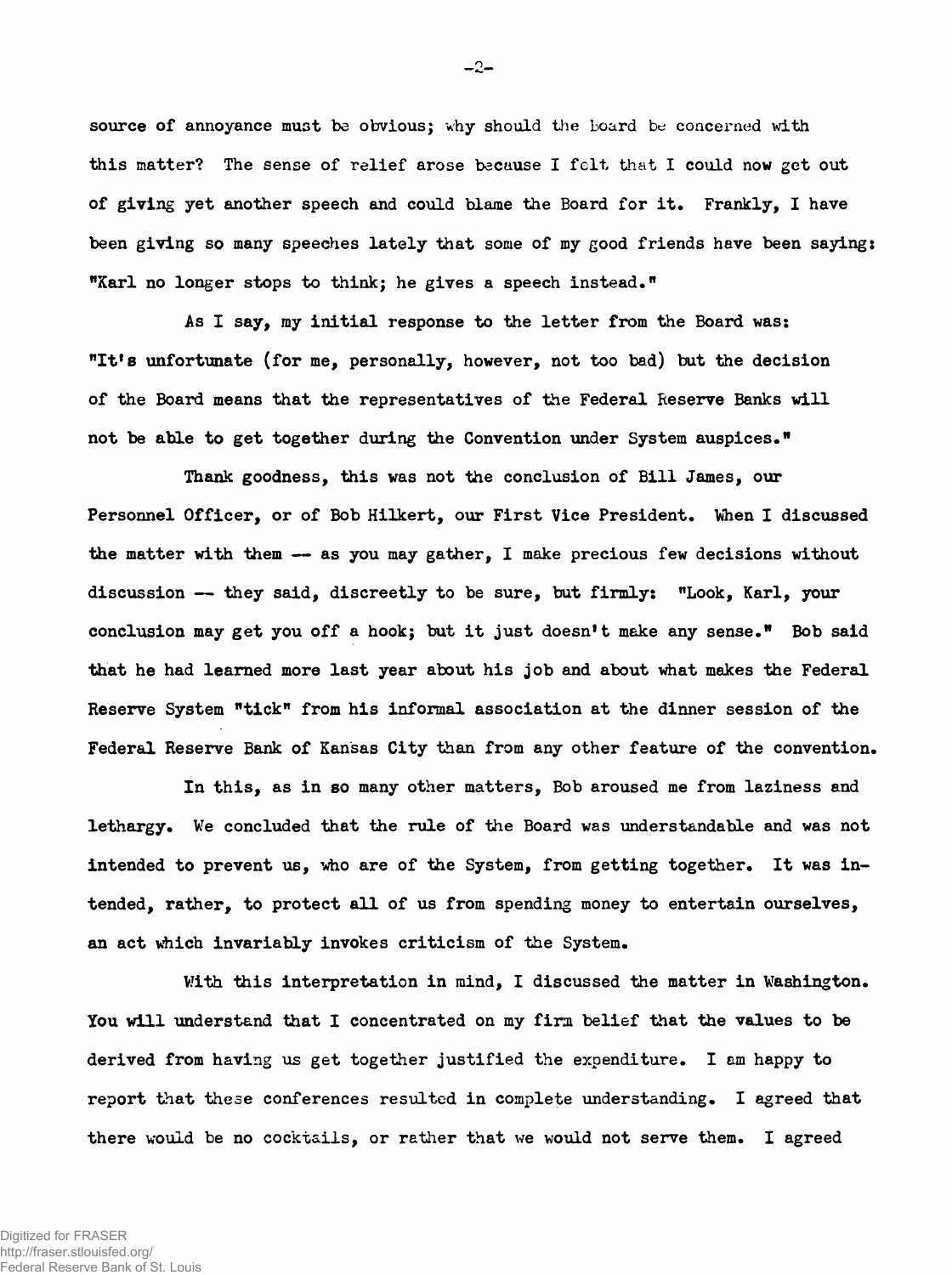**source of annoyance must be obvious; why should the board be concerned with this matter? The sense of relief arose because I felt that I could now get out of giving yet another speech and could blame the Board for it. Frankly, I have been giving so many speeches lately that some of my good friends have been saying: "Karl no longer stops to think; he gives a speech instead.n**

**As I say, my initial response to the letter from the Board was: "It's unfortunate (for me, personally, however, not too bad) but the decision of the Board means that the representatives of the Federal Reserve Banks will not be able to get together during the Convention under System auspices."**

**Thank goodness, this was not the conclusion of Bill James, our Personnel Officer, or of Bob Hilkert, our First Vice President. When I discussed the matter with them — as you may gather, I make precious few decisions without discussion — they said, discreetly to be sure, but firmly: "Look, Karl, your conclusion may get you off a hook; but it just doesn't make any sense." Bob said that he had learned more last year about his job and about what makes the Federal Reserve System "tick" from his informal association at the dinner session of the Federal Reserve Bank of Kansas City than from any other feature of the convention.**

**In this, as in so many other matters, Bob aroused me from laziness and lethargy. We concluded that the rule of the Board was understandable and was not intended to prevent us, who are of the System, from getting together. It was intended, rather, to protect all of us from spending money to entertain ourselves, an act which invariably invokes criticism of the System.**

**With this interpretation in mind, I discussed the matter in Washington. You will understand that I concentrated on my firm belief that the values to be derived from having us get together justified the expenditure. I am happy to report that these conferences resulted in complete understanding. I agreed that there would be no cocktails, or rather that we would not serve them. I agreed**

 $-2-$